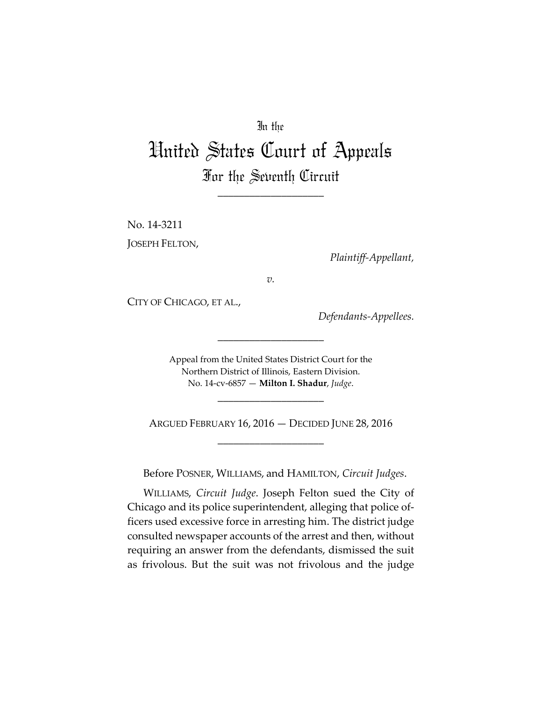## In the

# United States Court of Appeals For the Seventh Circuit

\_\_\_\_\_\_\_\_\_\_\_\_\_\_\_\_\_\_\_\_

No. 14‐3211 JOSEPH FELTON,

*Plaintiff‐Appellant,*

*v.*

CITY OF CHICAGO, ET AL.,

*Defendants‐Appellees.*

Appeal from the United States District Court for the Northern District of Illinois, Eastern Division. No. 14‐cv‐6857 — **Milton I. Shadur**, *Judge*.

\_\_\_\_\_\_\_\_\_\_\_\_\_\_\_\_\_\_\_\_

ARGUED FEBRUARY 16, 2016 — DECIDED JUNE 28, 2016 \_\_\_\_\_\_\_\_\_\_\_\_\_\_\_\_\_\_\_\_

\_\_\_\_\_\_\_\_\_\_\_\_\_\_\_\_\_\_\_\_

Before POSNER, WILLIAMS, and HAMILTON, *Circuit Judges*.

WILLIAMS, *Circuit Judge*. Joseph Felton sued the City of Chicago and its police superintendent, alleging that police of‐ ficers used excessive force in arresting him. The district judge consulted newspaper accounts of the arrest and then, without requiring an answer from the defendants, dismissed the suit as frivolous. But the suit was not frivolous and the judge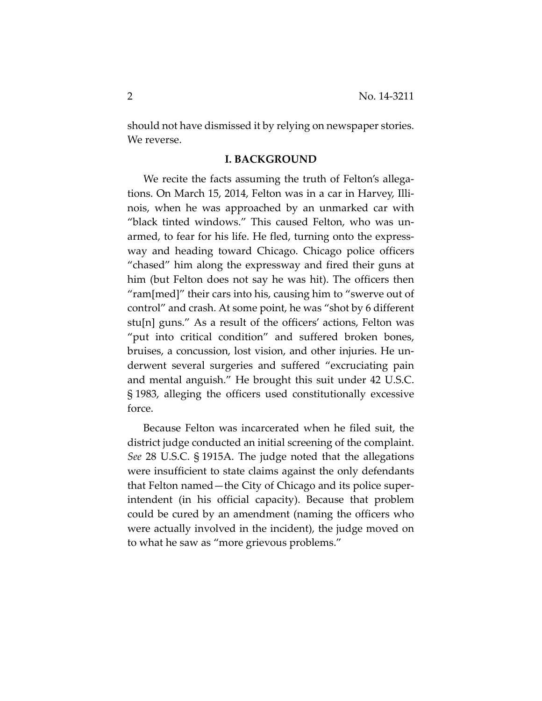should not have dismissed it by relying on newspaper stories. We reverse.

### **I. BACKGROUND**

We recite the facts assuming the truth of Felton's allegations. On March 15, 2014, Felton was in a car in Harvey, Illi‐ nois, when he was approached by an unmarked car with "black tinted windows." This caused Felton, who was un‐ armed, to fear for his life. He fled, turning onto the express‐ way and heading toward Chicago. Chicago police officers "chased" him along the expressway and fired their guns at him (but Felton does not say he was hit). The officers then "ram[med]" their cars into his, causing him to "swerve out of control" and crash. At some point, he was "shot by 6 different stu[n] guns." As a result of the officers' actions, Felton was "put into critical condition" and suffered broken bones, bruises, a concussion, lost vision, and other injuries. He un‐ derwent several surgeries and suffered "excruciating pain and mental anguish." He brought this suit under 42 U.S.C. § 1983, alleging the officers used constitutionally excessive force.

Because Felton was incarcerated when he filed suit, the district judge conducted an initial screening of the complaint. *See* 28 U.S.C. § 1915A. The judge noted that the allegations were insufficient to state claims against the only defendants that Felton named—the City of Chicago and its police super‐ intendent (in his official capacity). Because that problem could be cured by an amendment (naming the officers who were actually involved in the incident), the judge moved on to what he saw as "more grievous problems."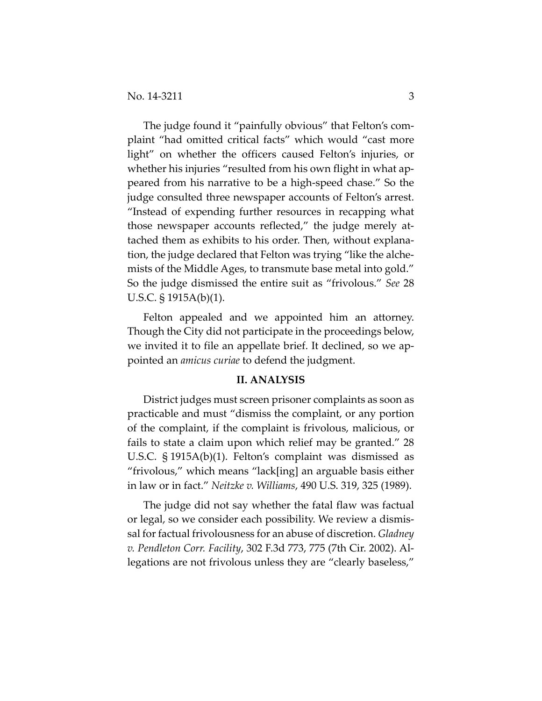The judge found it "painfully obvious" that Felton's com‐ plaint "had omitted critical facts" which would "cast more light" on whether the officers caused Felton's injuries, or whether his injuries "resulted from his own flight in what appeared from his narrative to be a high‐speed chase." So the judge consulted three newspaper accounts of Felton's arrest. "Instead of expending further resources in recapping what those newspaper accounts reflected," the judge merely at‐ tached them as exhibits to his order. Then, without explana‐ tion, the judge declared that Felton was trying "like the alche‐ mists of the Middle Ages, to transmute base metal into gold." So the judge dismissed the entire suit as "frivolous." *See* 28 U.S.C. § 1915A(b)(1).

Felton appealed and we appointed him an attorney. Though the City did not participate in the proceedings below, we invited it to file an appellate brief. It declined, so we appointed an *amicus curiae* to defend the judgment.

### **II. ANALYSIS**

District judges must screen prisoner complaints as soon as practicable and must "dismiss the complaint, or any portion of the complaint, if the complaint is frivolous, malicious, or fails to state a claim upon which relief may be granted." 28 U.S.C. § 1915A(b)(1). Felton's complaint was dismissed as "frivolous," which means "lack[ing] an arguable basis either in law or in fact." *Neitzke v. Williams*, 490 U.S. 319, 325 (1989).

The judge did not say whether the fatal flaw was factual or legal, so we consider each possibility. We review a dismis‐ sal for factual frivolousness for an abuse of discretion. *Gladney v. Pendleton Corr. Facility*, 302 F.3d 773, 775 (7th Cir. 2002). Al‐ legations are not frivolous unless they are "clearly baseless,"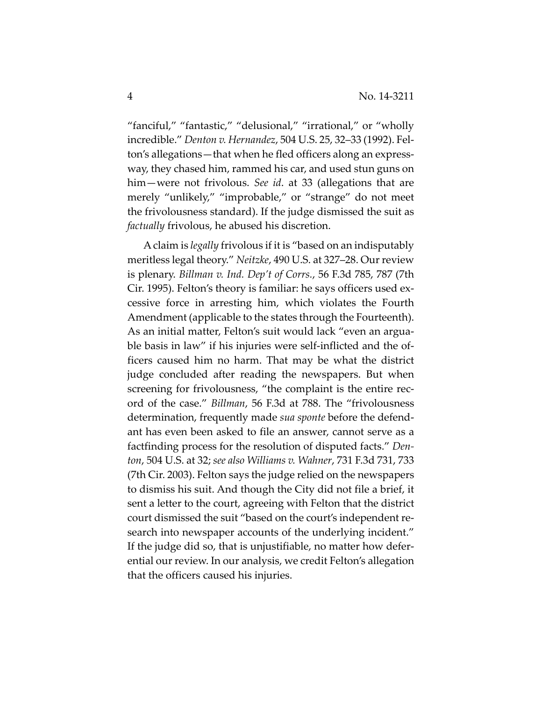"fanciful," "fantastic," "delusional," "irrational," or "wholly incredible." *Denton v. Hernandez*, 504 U.S. 25, 32–33 (1992). Fel‐ ton's allegations—that when he fled officers along an express‐ way, they chased him, rammed his car, and used stun guns on him—were not frivolous. *See id*. at 33 (allegations that are merely "unlikely," "improbable," or "strange" do not meet the frivolousness standard). If the judge dismissed the suit as *factually* frivolous, he abused his discretion.

Aclaim is *legally* frivolous if it is "based on an indisputably meritless legal theory." *Neitzke*, 490 U.S. at 327–28. Our review is plenary. *Billman v. Ind. Dep't of Corrs.*, 56 F.3d 785, 787 (7th Cir. 1995). Felton's theory is familiar: he says officers used ex‐ cessive force in arresting him, which violates the Fourth Amendment (applicable to the states through the Fourteenth). As an initial matter, Felton's suit would lack "even an argua‐ ble basis in law" if his injuries were self-inflicted and the officers caused him no harm. That may be what the district judge concluded after reading the newspapers. But when screening for frivolousness, "the complaint is the entire record of the case." *Billman*, 56 F.3d at 788. The "frivolousness determination, frequently made *sua sponte* before the defend‐ ant has even been asked to file an answer, cannot serve as a factfinding process for the resolution of disputed facts." *Den‐ ton*, 504 U.S. at 32; *see also Williams v. Wahner*, 731 F.3d 731, 733 (7th Cir. 2003). Felton says the judge relied on the newspapers to dismiss his suit. And though the City did not file a brief, it sent a letter to the court, agreeing with Felton that the district court dismissed the suit "based on the court's independent re‐ search into newspaper accounts of the underlying incident." If the judge did so, that is unjustifiable, no matter how defer‐ ential our review. In our analysis, we credit Felton's allegation that the officers caused his injuries.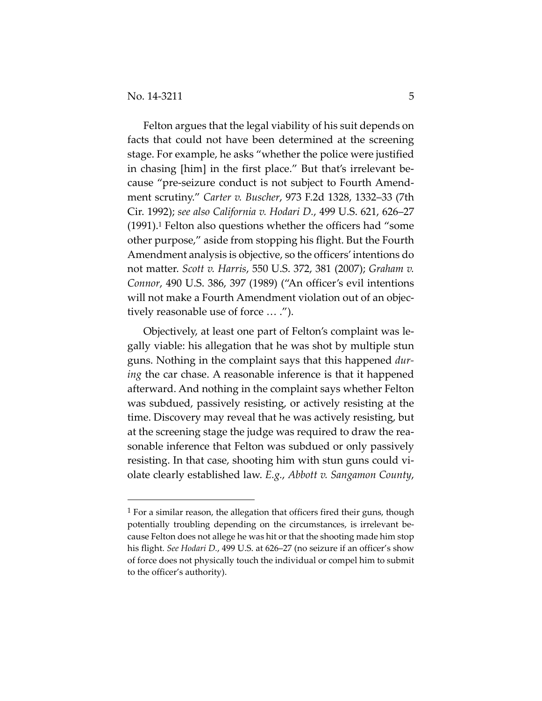Felton argues that the legal viability of his suit depends on facts that could not have been determined at the screening stage. For example, he asks "whether the police were justified in chasing [him] in the first place." But that's irrelevant be‐ cause "pre‐seizure conduct is not subject to Fourth Amend‐ ment scrutiny." *Carter v. Buscher*, 973 F.2d 1328, 1332–33 (7th Cir. 1992); *see also California v. Hodari D.*, 499 U.S. 621, 626–27 (1991).1 Felton also questions whether the officers had "some other purpose," aside from stopping his flight. But the Fourth Amendment analysis is objective, so the officers'intentions do not matter. *Scott v. Harris*, 550 U.S. 372, 381 (2007); *Graham v. Connor*, 490 U.S. 386, 397 (1989) ("An officer's evil intentions will not make a Fourth Amendment violation out of an objectively reasonable use of force … .").

Objectively, at least one part of Felton's complaint was le‐ gally viable: his allegation that he was shot by multiple stun guns. Nothing in the complaint says that this happened *dur‐ ing* the car chase. A reasonable inference is that it happened afterward. And nothing in the complaint says whether Felton was subdued, passively resisting, or actively resisting at the time. Discovery may reveal that he was actively resisting, but at the screening stage the judge was required to draw the rea‐ sonable inference that Felton was subdued or only passively resisting. In that case, shooting him with stun guns could vi‐ olate clearly established law. *E.g.*, *Abbott v. Sangamon County*,

 $1$  For a similar reason, the allegation that officers fired their guns, though potentially troubling depending on the circumstances, is irrelevant be‐ cause Felton does not allege he was hit or that the shooting made him stop his flight. *See Hodari D.*, 499 U.S. at 626–27 (no seizure if an officer's show of force does not physically touch the individual or compel him to submit to the officer's authority).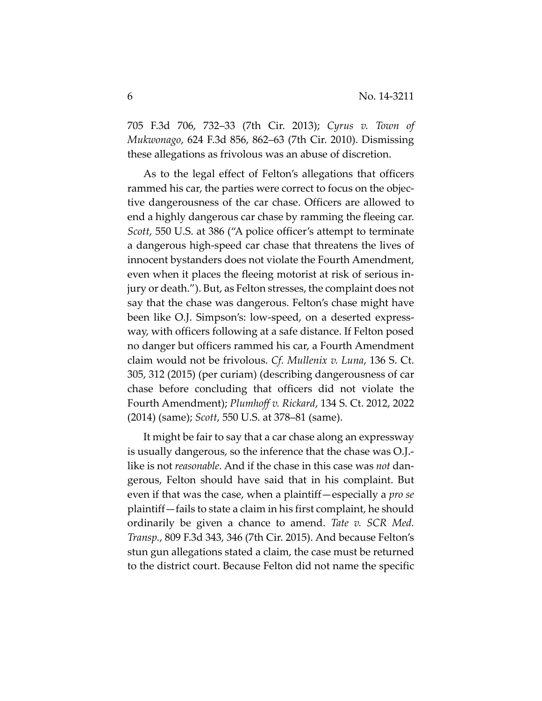705 F.3d 706, 732–33 (7th Cir. 2013); *Cyrus v. Town of Mukwonago*, 624 F.3d 856, 862–63 (7th Cir. 2010). Dismissing these allegations as frivolous was an abuse of discretion.

As to the legal effect of Felton's allegations that officers rammed his car, the parties were correct to focus on the objec‐ tive dangerousness of the car chase. Officers are allowed to end a highly dangerous car chase by ramming the fleeing car. *Scott*, 550 U.S. at 386 ("A police officer's attempt to terminate a dangerous high‐speed car chase that threatens the lives of innocent bystanders does not violate the Fourth Amendment, even when it places the fleeing motorist at risk of serious in‐ jury or death."). But, as Felton stresses, the complaint does not say that the chase was dangerous. Felton's chase might have been like O.J. Simpson's: low-speed, on a deserted expressway, with officers following at a safe distance. If Felton posed no danger but officers rammed his car, a Fourth Amendment claim would not be frivolous. *Cf. Mullenix v. Luna*, 136 S. Ct. 305, 312 (2015) (per curiam) (describing dangerousness of car chase before concluding that officers did not violate the Fourth Amendment); *Plumhoff v. Rickard*, 134 S. Ct. 2012, 2022 (2014) (same); *Scott*, 550 U.S. at 378–81 (same).

It might be fair to say that a car chase along an expressway is usually dangerous, so the inference that the chase was O.J.‐ like is not *reasonable*. And if the chase in this case was *not* dan‐ gerous, Felton should have said that in his complaint. But even if that was the case, when a plaintiff—especially a *pro se* plaintiff—fails to state a claim in his first complaint, he should ordinarily be given a chance to amend. *Tate v. SCR Med. Transp.*, 809 F.3d 343, 346 (7th Cir. 2015). And because Felton's stun gun allegations stated a claim, the case must be returned to the district court. Because Felton did not name the specific